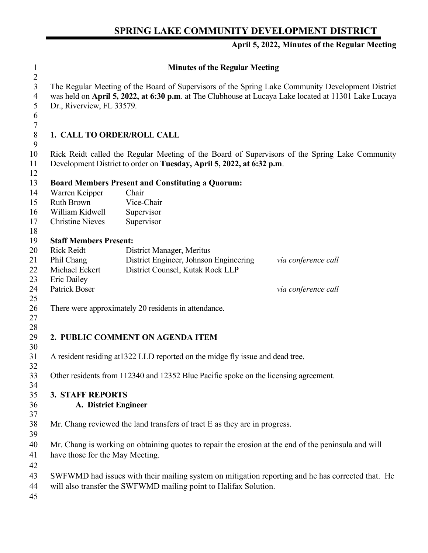## **SPRING LAKE COMMUNITY DEVELOPMENT DISTRICT**

## **April 5, 2022, Minutes of the Regular Meeting**

| $\mathbf{1}$                                    |                                                                                                                                                                                                                                        | <b>Minutes of the Regular Meeting</b>                                                             |                     |  |
|-------------------------------------------------|----------------------------------------------------------------------------------------------------------------------------------------------------------------------------------------------------------------------------------------|---------------------------------------------------------------------------------------------------|---------------------|--|
| $\overline{2}$<br>3<br>$\overline{4}$<br>5<br>6 | The Regular Meeting of the Board of Supervisors of the Spring Lake Community Development District<br>was held on April 5, 2022, at 6:30 p.m. at The Clubhouse at Lucaya Lake located at 11301 Lake Lucaya<br>Dr., Riverview, FL 33579. |                                                                                                   |                     |  |
| $\tau$<br>$\,8\,$<br>9                          | 1. CALL TO ORDER/ROLL CALL                                                                                                                                                                                                             |                                                                                                   |                     |  |
| 10<br>11<br>12                                  | Rick Reidt called the Regular Meeting of the Board of Supervisors of the Spring Lake Community<br>Development District to order on Tuesday, April 5, 2022, at 6:32 p.m.                                                                |                                                                                                   |                     |  |
| 13                                              |                                                                                                                                                                                                                                        | <b>Board Members Present and Constituting a Quorum:</b>                                           |                     |  |
| 14                                              | Warren Keipper                                                                                                                                                                                                                         | Chair                                                                                             |                     |  |
| 15                                              | <b>Ruth Brown</b>                                                                                                                                                                                                                      | Vice-Chair                                                                                        |                     |  |
| 16                                              | William Kidwell                                                                                                                                                                                                                        | Supervisor                                                                                        |                     |  |
| 17                                              | <b>Christine Nieves</b>                                                                                                                                                                                                                | Supervisor                                                                                        |                     |  |
| 18                                              |                                                                                                                                                                                                                                        |                                                                                                   |                     |  |
| 19                                              | <b>Staff Members Present:</b>                                                                                                                                                                                                          |                                                                                                   |                     |  |
| 20                                              | <b>Rick Reidt</b>                                                                                                                                                                                                                      | District Manager, Meritus                                                                         |                     |  |
| 21                                              | Phil Chang                                                                                                                                                                                                                             | District Engineer, Johnson Engineering                                                            | via conference call |  |
| 22                                              | Michael Eckert                                                                                                                                                                                                                         | District Counsel, Kutak Rock LLP                                                                  |                     |  |
| 23                                              | Eric Dailey                                                                                                                                                                                                                            |                                                                                                   |                     |  |
| 24<br>25                                        | <b>Patrick Boser</b>                                                                                                                                                                                                                   |                                                                                                   | via conference call |  |
| 26                                              |                                                                                                                                                                                                                                        | There were approximately 20 residents in attendance.                                              |                     |  |
| 27                                              |                                                                                                                                                                                                                                        |                                                                                                   |                     |  |
| 28<br>29<br>30                                  |                                                                                                                                                                                                                                        | 2. PUBLIC COMMENT ON AGENDA ITEM                                                                  |                     |  |
| 31<br>32                                        |                                                                                                                                                                                                                                        | A resident residing at 1322 LLD reported on the midge fly issue and dead tree.                    |                     |  |
| 33<br>34                                        | Other residents from 112340 and 12352 Blue Pacific spoke on the licensing agreement.                                                                                                                                                   |                                                                                                   |                     |  |
| 35                                              | <b>3. STAFF REPORTS</b>                                                                                                                                                                                                                |                                                                                                   |                     |  |
| 36                                              | A. District Engineer                                                                                                                                                                                                                   |                                                                                                   |                     |  |
| 37                                              |                                                                                                                                                                                                                                        |                                                                                                   |                     |  |
| 38                                              | Mr. Chang reviewed the land transfers of tract E as they are in progress.                                                                                                                                                              |                                                                                                   |                     |  |
| 39                                              |                                                                                                                                                                                                                                        |                                                                                                   |                     |  |
| 40                                              | Mr. Chang is working on obtaining quotes to repair the erosion at the end of the peninsula and will                                                                                                                                    |                                                                                                   |                     |  |
| 41<br>42                                        | have those for the May Meeting.                                                                                                                                                                                                        |                                                                                                   |                     |  |
| 43                                              |                                                                                                                                                                                                                                        | SWFWMD had issues with their mailing system on mitigation reporting and he has corrected that. He |                     |  |
| 44                                              | will also transfer the SWFWMD mailing point to Halifax Solution.                                                                                                                                                                       |                                                                                                   |                     |  |
| 45                                              |                                                                                                                                                                                                                                        |                                                                                                   |                     |  |
|                                                 |                                                                                                                                                                                                                                        |                                                                                                   |                     |  |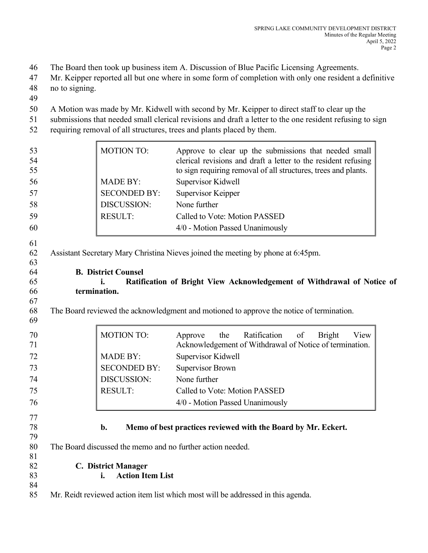46 The Board then took up business item A. Discussion of Blue Pacific Licensing Agreements.

47 Mr. Keipper reported all but one where in some form of completion with only one resident a definitive 48 no to signing.

49

50 A Motion was made by Mr. Kidwell with second by Mr. Keipper to direct staff to clear up the

51 submissions that needed small clerical revisions and draft a letter to the one resident refusing to sign

52 requiring removal of all structures, trees and plants placed by them.

| 53<br>54<br>55       |                                                                                                                | <b>MOTION TO:</b>             | Approve to clear up the submissions that needed small<br>clerical revisions and draft a letter to the resident refusing<br>to sign requiring removal of all structures, trees and plants. |
|----------------------|----------------------------------------------------------------------------------------------------------------|-------------------------------|-------------------------------------------------------------------------------------------------------------------------------------------------------------------------------------------|
| 56                   |                                                                                                                | <b>MADE BY:</b>               | Supervisor Kidwell                                                                                                                                                                        |
| 57                   |                                                                                                                | <b>SECONDED BY:</b>           | Supervisor Keipper                                                                                                                                                                        |
| 58                   |                                                                                                                | DISCUSSION:                   | None further                                                                                                                                                                              |
| 59                   |                                                                                                                | <b>RESULT:</b>                | Called to Vote: Motion PASSED                                                                                                                                                             |
| 60                   |                                                                                                                |                               | 4/0 - Motion Passed Unanimously                                                                                                                                                           |
| 61<br>62<br>63<br>64 | Assistant Secretary Mary Christina Nieves joined the meeting by phone at 6:45pm.<br><b>B. District Counsel</b> |                               |                                                                                                                                                                                           |
| 65                   |                                                                                                                | İ.                            | Ratification of Bright View Acknowledgement of Withdrawal of Notice of                                                                                                                    |
| 66                   | termination.                                                                                                   |                               |                                                                                                                                                                                           |
| 67<br>68<br>69       | The Board reviewed the acknowledgment and motioned to approve the notice of termination.                       |                               |                                                                                                                                                                                           |
| 70<br>71             |                                                                                                                | <b>MOTION TO:</b>             | Ratification<br>the<br>of<br><b>Bright</b><br>View<br>Approve<br>Acknowledgement of Withdrawal of Notice of termination.                                                                  |
| 72                   |                                                                                                                | <b>MADE BY:</b>               | Supervisor Kidwell                                                                                                                                                                        |
| 73                   |                                                                                                                | <b>SECONDED BY:</b>           | <b>Supervisor Brown</b>                                                                                                                                                                   |
| 74                   |                                                                                                                | DISCUSSION:                   | None further                                                                                                                                                                              |
| 75                   |                                                                                                                | <b>RESULT:</b>                | Called to Vote: Motion PASSED                                                                                                                                                             |
| 76                   |                                                                                                                |                               | 4/0 - Motion Passed Unanimously                                                                                                                                                           |
| 77<br>78<br>79       | b.<br>Memo of best practices reviewed with the Board by Mr. Eckert.                                            |                               |                                                                                                                                                                                           |
| 80<br>81             | The Board discussed the memo and no further action needed.                                                     |                               |                                                                                                                                                                                           |
| 82                   | <b>C. District Manager</b>                                                                                     |                               |                                                                                                                                                                                           |
| 83                   |                                                                                                                | <b>Action Item List</b><br>i. |                                                                                                                                                                                           |
| 84                   |                                                                                                                |                               |                                                                                                                                                                                           |
| 85                   | Mr. Reidt reviewed action item list which most will be addressed in this agenda.                               |                               |                                                                                                                                                                                           |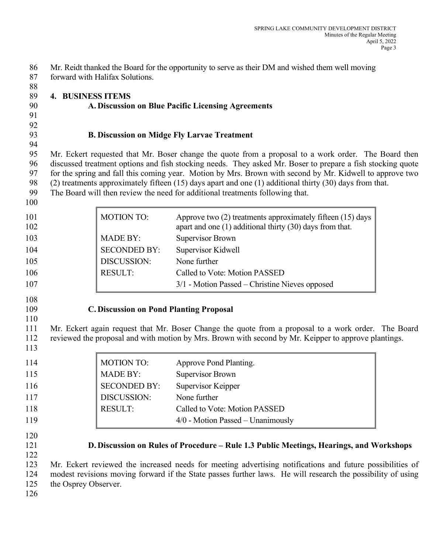86 Mr. Reidt thanked the Board for the opportunity to serve as their DM and wished them well moving 87 forward with Halifax Solutions. 88 89 **4. BUSINESS ITEMS** 90 **A. Discussion on Blue Pacific Licensing Agreements** 91 92 93 **B. Discussion on Midge Fly Larvae Treatment** 94 95 Mr. Eckert requested that Mr. Boser change the quote from a proposal to a work order. The Board then 96 discussed treatment options and fish stocking needs. They asked Mr. Boser to prepare a fish stocking quote 97 for the spring and fall this coming year. Motion by Mrs. Brown with second by Mr. Kidwell to approve two 98 (2) treatments approximately fifteen (15) days apart and one (1) additional thirty (30) days from that.<br>99 The Board will then review the need for additional treatments following that. The Board will then review the need for additional treatments following that. 100 101 MOTION TO: Approve two (2) treatments approximately fifteen (15) days 102 **apart and one (1) additional thirty (30) days from that.** 103 MADE BY: Supervisor Brown 104 SECONDED BY: Supervisor Kidwell 105 DISCUSSION: None further 106 RESULT: Called to Vote: Motion PASSED 107 3/1 - Motion Passed – Christine Nieves opposed 108 109 **C. Discussion on Pond Planting Proposal**  110 111 Mr. Eckert again request that Mr. Boser Change the quote from a proposal to a work order. The Board 112 reviewed the proposal and with motion by Mrs. Brown with second by Mr. Keipper to approve plantings. 113 114 MOTION TO: Approve Pond Planting. 115 MADE BY: Supervisor Brown 116 SECONDED BY: Supervisor Keipper 117 DISCUSSION: None further 118 RESULT: Called to Vote: Motion PASSED 119 **119 119 119 119 119 119 119 119 119 119 119 11** 120 121 **D. Discussion on Rules of Procedure – Rule 1.3 Public Meetings, Hearings, and Workshops**  122 123 Mr. Eckert reviewed the increased needs for meeting advertising notifications and future possibilities of 124 modest revisions moving forward if the State passes further laws. He will research the possibility of using 125 the Osprey Observer.

126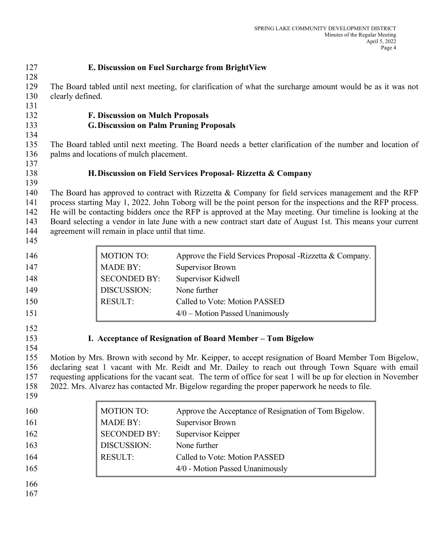| 127<br>128                                           | E. Discussion on Fuel Surcharge from BrightView                                                                                                                                                                                                                                                                                                                                                                                                                                                      |                                                                                              |                                                                                                                                                                                                 |  |
|------------------------------------------------------|------------------------------------------------------------------------------------------------------------------------------------------------------------------------------------------------------------------------------------------------------------------------------------------------------------------------------------------------------------------------------------------------------------------------------------------------------------------------------------------------------|----------------------------------------------------------------------------------------------|-------------------------------------------------------------------------------------------------------------------------------------------------------------------------------------------------|--|
| 129<br>130<br>131                                    | The Board tabled until next meeting, for clarification of what the surcharge amount would be as it was not<br>clearly defined.                                                                                                                                                                                                                                                                                                                                                                       |                                                                                              |                                                                                                                                                                                                 |  |
| 132<br>133<br>134                                    | <b>F. Discussion on Mulch Proposals</b><br><b>G. Discussion on Palm Pruning Proposals</b>                                                                                                                                                                                                                                                                                                                                                                                                            |                                                                                              |                                                                                                                                                                                                 |  |
| 135<br>136<br>137                                    | The Board tabled until next meeting. The Board needs a better clarification of the number and location of<br>palms and locations of mulch placement.                                                                                                                                                                                                                                                                                                                                                 |                                                                                              |                                                                                                                                                                                                 |  |
| 138<br>139                                           | H. Discussion on Field Services Proposal- Rizzetta & Company                                                                                                                                                                                                                                                                                                                                                                                                                                         |                                                                                              |                                                                                                                                                                                                 |  |
| 140<br>141<br>142<br>143<br>144<br>145               | The Board has approved to contract with Rizzetta $&$ Company for field services management and the RFP<br>process starting May 1, 2022. John Toborg will be the point person for the inspections and the RFP process.<br>He will be contacting bidders once the RFP is approved at the May meeting. Our timeline is looking at the<br>Board selecting a vendor in late June with a new contract start date of August 1st. This means your current<br>agreement will remain in place until that time. |                                                                                              |                                                                                                                                                                                                 |  |
| 146<br>147<br>148<br>149<br>150<br>151               |                                                                                                                                                                                                                                                                                                                                                                                                                                                                                                      | <b>MOTION TO:</b><br><b>MADE BY:</b><br><b>SECONDED BY:</b><br>DISCUSSION:<br><b>RESULT:</b> | Approve the Field Services Proposal -Rizzetta & Company.<br><b>Supervisor Brown</b><br>Supervisor Kidwell<br>None further<br>Called to Vote: Motion PASSED<br>$4/0$ – Motion Passed Unanimously |  |
| 152<br>153<br>154<br>155<br>156<br>157<br>158<br>159 | I. Acceptance of Resignation of Board Member - Tom Bigelow<br>Motion by Mrs. Brown with second by Mr. Keipper, to accept resignation of Board Member Tom Bigelow,<br>declaring seat 1 vacant with Mr. Reidt and Mr. Dailey to reach out through Town Square with email<br>requesting applications for the vacant seat. The term of office for seat 1 will be up for election in November<br>2022. Mrs. Alvarez has contacted Mr. Bigelow regarding the proper paperwork he needs to file.            |                                                                                              |                                                                                                                                                                                                 |  |
| 160<br>161<br>162<br>163<br>164<br>165<br>166<br>167 |                                                                                                                                                                                                                                                                                                                                                                                                                                                                                                      | <b>MOTION TO:</b><br><b>MADE BY:</b><br><b>SECONDED BY:</b><br>DISCUSSION:<br><b>RESULT:</b> | Approve the Acceptance of Resignation of Tom Bigelow.<br><b>Supervisor Brown</b><br>Supervisor Keipper<br>None further<br>Called to Vote: Motion PASSED<br>4/0 - Motion Passed Unanimously      |  |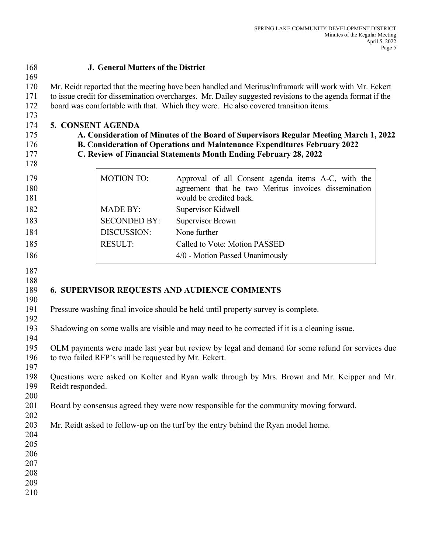| 168                                                  |                                                                                                                                                                                                                                                                                                           | <b>J. General Matters of the District</b> |                                                                                                                                       |
|------------------------------------------------------|-----------------------------------------------------------------------------------------------------------------------------------------------------------------------------------------------------------------------------------------------------------------------------------------------------------|-------------------------------------------|---------------------------------------------------------------------------------------------------------------------------------------|
| 169<br>170<br>171<br>172<br>173                      | Mr. Reidt reported that the meeting have been handled and Meritus/Inframark will work with Mr. Eckert<br>to issue credit for dissemination overcharges. Mr. Dailey suggested revisions to the agenda format if the<br>board was comfortable with that. Which they were. He also covered transition items. |                                           |                                                                                                                                       |
| 174<br>175<br>176<br>177<br>178                      | 5. CONSENT AGENDA<br>A. Consideration of Minutes of the Board of Supervisors Regular Meeting March 1, 2022<br><b>B. Consideration of Operations and Maintenance Expenditures February 2022</b><br>C. Review of Financial Statements Month Ending February 28, 2022                                        |                                           |                                                                                                                                       |
| 179<br>180<br>181                                    |                                                                                                                                                                                                                                                                                                           | <b>MOTION TO:</b>                         | Approval of all Consent agenda items A-C, with the<br>agreement that he two Meritus invoices dissemination<br>would be credited back. |
| 182                                                  |                                                                                                                                                                                                                                                                                                           | <b>MADE BY:</b>                           | Supervisor Kidwell                                                                                                                    |
| 183                                                  |                                                                                                                                                                                                                                                                                                           | <b>SECONDED BY:</b>                       | <b>Supervisor Brown</b>                                                                                                               |
| 184                                                  |                                                                                                                                                                                                                                                                                                           | DISCUSSION:                               | None further                                                                                                                          |
| 185                                                  |                                                                                                                                                                                                                                                                                                           | <b>RESULT:</b>                            | Called to Vote: Motion PASSED                                                                                                         |
| 186                                                  |                                                                                                                                                                                                                                                                                                           |                                           | 4/0 - Motion Passed Unanimously                                                                                                       |
| 187<br>188<br>189<br>190                             |                                                                                                                                                                                                                                                                                                           |                                           | <b>6. SUPERVISOR REQUESTS AND AUDIENCE COMMENTS</b>                                                                                   |
| 191<br>192                                           |                                                                                                                                                                                                                                                                                                           |                                           | Pressure washing final invoice should be held until property survey is complete.                                                      |
| 193<br>194                                           | Shadowing on some walls are visible and may need to be corrected if it is a cleaning issue.                                                                                                                                                                                                               |                                           |                                                                                                                                       |
| 195<br>196<br>197                                    | OLM payments were made last year but review by legal and demand for some refund for services due<br>to two failed RFP's will be requested by Mr. Eckert.                                                                                                                                                  |                                           |                                                                                                                                       |
| 198<br>199<br>200                                    | Questions were asked on Kolter and Ryan walk through by Mrs. Brown and Mr. Keipper and Mr.<br>Reidt responded.                                                                                                                                                                                            |                                           |                                                                                                                                       |
| 201<br>202                                           |                                                                                                                                                                                                                                                                                                           |                                           | Board by consensus agreed they were now responsible for the community moving forward.                                                 |
| 203<br>204<br>205<br>206<br>207<br>208<br>209<br>210 |                                                                                                                                                                                                                                                                                                           |                                           | Mr. Reidt asked to follow-up on the turf by the entry behind the Ryan model home.                                                     |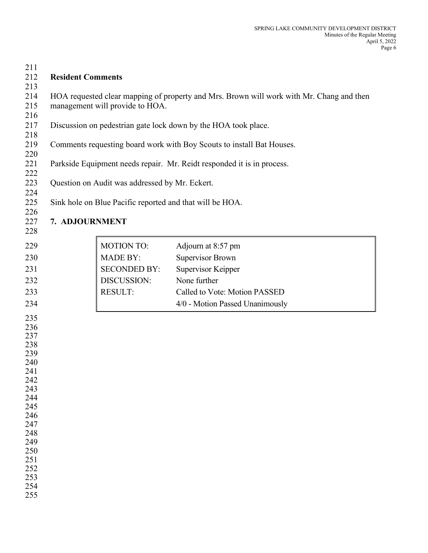| 211        |                                 |                                                |                                                                                          |
|------------|---------------------------------|------------------------------------------------|------------------------------------------------------------------------------------------|
| 212        | <b>Resident Comments</b>        |                                                |                                                                                          |
| 213        |                                 |                                                |                                                                                          |
| 214        |                                 |                                                | HOA requested clear mapping of property and Mrs. Brown will work with Mr. Chang and then |
| 215        | management will provide to HOA. |                                                |                                                                                          |
| 216        |                                 |                                                |                                                                                          |
| 217        |                                 |                                                | Discussion on pedestrian gate lock down by the HOA took place.                           |
| 218        |                                 |                                                |                                                                                          |
| 219<br>220 |                                 |                                                | Comments requesting board work with Boy Scouts to install Bat Houses.                    |
| 221        |                                 |                                                | Parkside Equipment needs repair. Mr. Reidt responded it is in process.                   |
| 222        |                                 |                                                |                                                                                          |
| 223        |                                 | Question on Audit was addressed by Mr. Eckert. |                                                                                          |
| 224        |                                 |                                                |                                                                                          |
| 225        |                                 |                                                | Sink hole on Blue Pacific reported and that will be HOA.                                 |
| 226        |                                 |                                                |                                                                                          |
| 227        | 7. ADJOURNMENT                  |                                                |                                                                                          |
| 228        |                                 |                                                |                                                                                          |
| 229        |                                 | <b>MOTION TO:</b>                              | Adjourn at 8:57 pm                                                                       |
| 230        |                                 | <b>MADE BY:</b>                                | <b>Supervisor Brown</b>                                                                  |
| 231        |                                 | <b>SECONDED BY:</b>                            | Supervisor Keipper                                                                       |
| 232        |                                 | DISCUSSION:                                    | None further                                                                             |
|            |                                 | <b>RESULT:</b>                                 | Called to Vote: Motion PASSED                                                            |
| 233        |                                 |                                                |                                                                                          |
| 234        |                                 |                                                | 4/0 - Motion Passed Unanimously                                                          |
| 235        |                                 |                                                |                                                                                          |
| 236        |                                 |                                                |                                                                                          |
| 237        |                                 |                                                |                                                                                          |
| 238<br>239 |                                 |                                                |                                                                                          |
| 240        |                                 |                                                |                                                                                          |
| 241        |                                 |                                                |                                                                                          |
| 242        |                                 |                                                |                                                                                          |
| 243        |                                 |                                                |                                                                                          |
| 244        |                                 |                                                |                                                                                          |
| 245        |                                 |                                                |                                                                                          |
| 246<br>247 |                                 |                                                |                                                                                          |
| 248        |                                 |                                                |                                                                                          |
| 249        |                                 |                                                |                                                                                          |
| 250        |                                 |                                                |                                                                                          |
| 251        |                                 |                                                |                                                                                          |
| 252        |                                 |                                                |                                                                                          |
| 253<br>254 |                                 |                                                |                                                                                          |
| 255        |                                 |                                                |                                                                                          |